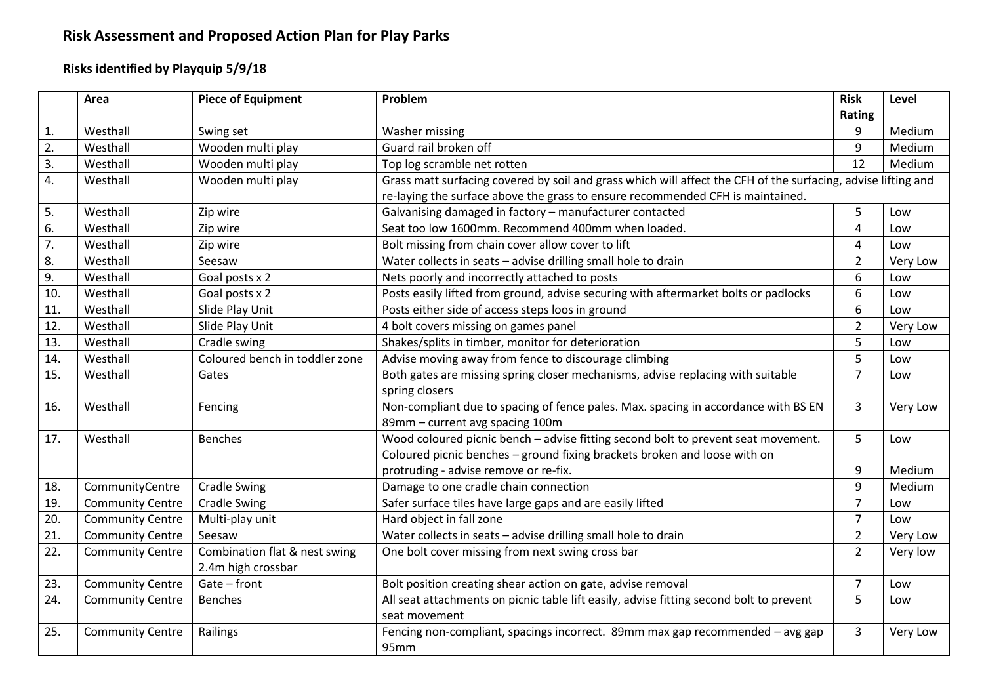# **Risk Assessment and Proposed Action Plan for Play Parks**

## **Risks identified by Playquip 5/9/18**

|     | Area                    | <b>Piece of Equipment</b>      | Problem                                                                                                       | <b>Risk</b>    | Level    |
|-----|-------------------------|--------------------------------|---------------------------------------------------------------------------------------------------------------|----------------|----------|
|     |                         |                                |                                                                                                               | Rating         |          |
| 1.  | Westhall                | Swing set                      | Washer missing                                                                                                | 9              | Medium   |
| 2.  | Westhall                | Wooden multi play              | Guard rail broken off                                                                                         | 9              | Medium   |
| 3.  | Westhall                | Wooden multi play              | Top log scramble net rotten                                                                                   | 12             | Medium   |
| 4.  | Westhall                | Wooden multi play              | Grass matt surfacing covered by soil and grass which will affect the CFH of the surfacing, advise lifting and |                |          |
|     |                         |                                | re-laying the surface above the grass to ensure recommended CFH is maintained.                                |                |          |
| 5.  | Westhall                | Zip wire                       | Galvanising damaged in factory - manufacturer contacted                                                       | 5              | Low      |
| 6.  | Westhall                | Zip wire                       | Seat too low 1600mm. Recommend 400mm when loaded.                                                             | $\overline{4}$ | Low      |
| 7.  | Westhall                | Zip wire                       | Bolt missing from chain cover allow cover to lift                                                             | 4              | Low      |
| 8.  | Westhall                | Seesaw                         | Water collects in seats - advise drilling small hole to drain                                                 | $\overline{2}$ | Very Low |
| 9.  | Westhall                | Goal posts x 2                 | Nets poorly and incorrectly attached to posts                                                                 | 6              | Low      |
| 10. | Westhall                | Goal posts x 2                 | Posts easily lifted from ground, advise securing with aftermarket bolts or padlocks                           | 6              | Low      |
| 11. | Westhall                | Slide Play Unit                | Posts either side of access steps loos in ground                                                              | 6              | Low      |
| 12. | Westhall                | Slide Play Unit                | 4 bolt covers missing on games panel                                                                          | $\overline{2}$ | Very Low |
| 13. | Westhall                | Cradle swing                   | Shakes/splits in timber, monitor for deterioration                                                            | 5              | Low      |
| 14. | Westhall                | Coloured bench in toddler zone | Advise moving away from fence to discourage climbing                                                          | 5              | Low      |
| 15. | Westhall                | Gates                          | Both gates are missing spring closer mechanisms, advise replacing with suitable                               | $\overline{7}$ | Low      |
|     |                         |                                | spring closers                                                                                                |                |          |
| 16. | Westhall                | Fencing                        | Non-compliant due to spacing of fence pales. Max. spacing in accordance with BS EN                            | 3              | Very Low |
|     |                         |                                | 89mm - current avg spacing 100m                                                                               |                |          |
| 17. | Westhall                | <b>Benches</b>                 | Wood coloured picnic bench - advise fitting second bolt to prevent seat movement.                             | 5              | Low      |
|     |                         |                                | Coloured picnic benches - ground fixing brackets broken and loose with on                                     |                |          |
|     |                         |                                | protruding - advise remove or re-fix.                                                                         | 9              | Medium   |
| 18. | CommunityCentre         | <b>Cradle Swing</b>            | Damage to one cradle chain connection                                                                         | 9              | Medium   |
| 19. | <b>Community Centre</b> | <b>Cradle Swing</b>            | Safer surface tiles have large gaps and are easily lifted                                                     | $\overline{7}$ | Low      |
| 20. | <b>Community Centre</b> | Multi-play unit                | Hard object in fall zone                                                                                      | $\overline{7}$ | Low      |
| 21. | <b>Community Centre</b> | Seesaw                         | Water collects in seats - advise drilling small hole to drain                                                 | $\overline{2}$ | Very Low |
| 22. | <b>Community Centre</b> | Combination flat & nest swing  | One bolt cover missing from next swing cross bar                                                              | $\overline{2}$ | Very low |
|     |                         | 2.4m high crossbar             |                                                                                                               |                |          |
| 23. | <b>Community Centre</b> | Gate - front                   | Bolt position creating shear action on gate, advise removal                                                   | $\overline{7}$ | Low      |
| 24. | <b>Community Centre</b> | <b>Benches</b>                 | All seat attachments on picnic table lift easily, advise fitting second bolt to prevent                       | 5              | Low      |
|     |                         |                                | seat movement                                                                                                 |                |          |
| 25. | <b>Community Centre</b> | Railings                       | Fencing non-compliant, spacings incorrect. 89mm max gap recommended - avg gap                                 | 3              | Very Low |
|     |                         |                                | 95 <sub>mm</sub>                                                                                              |                |          |